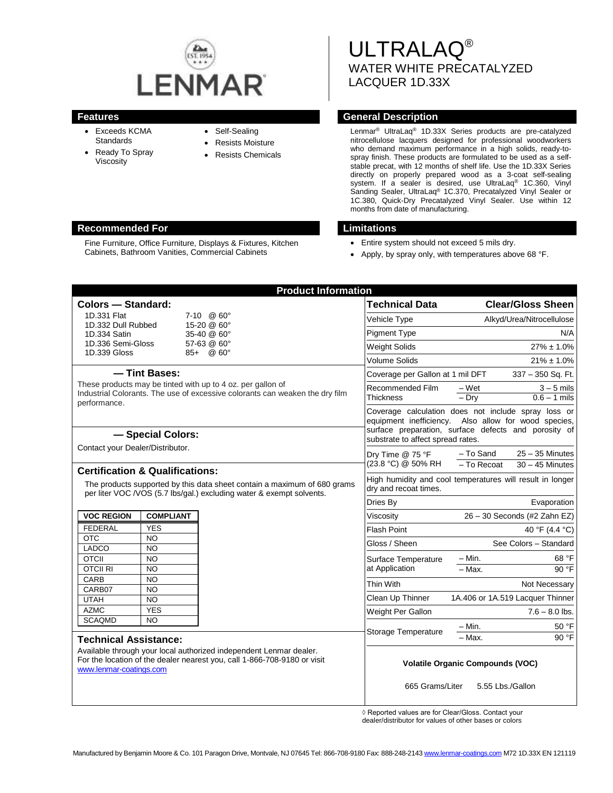

- Exceeds KCMA **Standards**
- Ready To Spray Viscosity
- Self-Sealing
- Resists Moisture
- Resists Chemicals

ULTRALAQ® WATER WHITE PRECATALYZED LACQUER 1D.33X

# **Features General Description**

Lenmar® UltraLaq® 1D.33X Series products are pre-catalyzed nitrocellulose lacquers designed for professional woodworkers who demand maximum performance in a high solids, ready-tospray finish. These products are formulated to be used as a selfstable precat, with 12 months of shelf life. Use the 1D.33X Series directly on properly prepared wood as a 3-coat self-sealing system. If a sealer is desired, use UltraLaq<sup>®</sup> 1C.360, Vinyl Sanding Sealer, UltraLaq® 1C.370, Precatalyzed Vinyl Sealer or 1C.380, Quick-Dry Precatalyzed Vinyl Sealer. Use within 12 months from date of manufacturing.

- Entire system should not exceed 5 mils dry.
- Apply, by spray only, with temperatures above 68 °F.

| <b>Colors - Standard:</b>                                                                                                                                                                         |                        |  | <b>Technical Data</b>                                                                                                                                                                                    | <b>Clear/Gloss Sheen</b>  |                                  |
|---------------------------------------------------------------------------------------------------------------------------------------------------------------------------------------------------|------------------------|--|----------------------------------------------------------------------------------------------------------------------------------------------------------------------------------------------------------|---------------------------|----------------------------------|
| 1D.331 Flat<br>$7-10$ @ $60^{\circ}$                                                                                                                                                              |                        |  | Vehicle Type                                                                                                                                                                                             | Alkyd/Urea/Nitrocellulose |                                  |
| 1D.332 Dull Rubbed<br>15-20 @ 60°                                                                                                                                                                 |                        |  | <b>Pigment Type</b>                                                                                                                                                                                      |                           | N/A                              |
| 1D.334 Satin<br>35-40 @ 60°<br>1D.336 Semi-Gloss<br>57-63 @ 60°                                                                                                                                   |                        |  |                                                                                                                                                                                                          |                           |                                  |
| 1D.339 Gloss<br>$85 +  @ 60^{\circ}$                                                                                                                                                              |                        |  | <b>Weight Solids</b>                                                                                                                                                                                     | $27\% \pm 1.0\%$          |                                  |
|                                                                                                                                                                                                   |                        |  | <b>Volume Solids</b>                                                                                                                                                                                     | $21\% \pm 1.0\%$          |                                  |
| - Tint Bases:<br>These products may be tinted with up to 4 oz. per gallon of<br>Industrial Colorants. The use of excessive colorants can weaken the dry film<br>performance.<br>- Special Colors: |                        |  | Coverage per Gallon at 1 mil DFT                                                                                                                                                                         |                           | 337 - 350 Sq. Ft.                |
|                                                                                                                                                                                                   |                        |  | Recommended Film<br>Thickness                                                                                                                                                                            | $-Wet$                    | $3 - 5$ mils                     |
|                                                                                                                                                                                                   |                        |  |                                                                                                                                                                                                          | $-$ Dry                   | $0.6 - 1$ mils                   |
|                                                                                                                                                                                                   |                        |  | Coverage calculation does not include spray loss or<br>equipment inefficiency. Also allow for wood species,<br>surface preparation, surface defects and porosity of<br>substrate to affect spread rates. |                           |                                  |
| Contact your Dealer/Distributor.                                                                                                                                                                  |                        |  | Dry Time @ 75 °F<br>(23.8 °C) @ 50% RH                                                                                                                                                                   | - To Sand                 | $25 - 35$ Minutes                |
| <b>Certification &amp; Qualifications:</b><br>The products supported by this data sheet contain a maximum of 680 grams<br>per liter VOC /VOS (5.7 lbs/gal.) excluding water & exempt solvents.    |                        |  |                                                                                                                                                                                                          | - To Recoat               | $30 - 45$ Minutes                |
|                                                                                                                                                                                                   |                        |  | High humidity and cool temperatures will result in longer<br>dry and recoat times.                                                                                                                       |                           |                                  |
|                                                                                                                                                                                                   |                        |  | Dries By                                                                                                                                                                                                 |                           | Evaporation                      |
| <b>VOC REGION</b>                                                                                                                                                                                 | <b>COMPLIANT</b>       |  | Viscosity                                                                                                                                                                                                |                           | 26 - 30 Seconds (#2 Zahn EZ)     |
| <b>FEDERAL</b>                                                                                                                                                                                    | <b>YES</b>             |  | <b>Flash Point</b>                                                                                                                                                                                       |                           | 40 °F (4.4 °C)                   |
| <b>OTC</b>                                                                                                                                                                                        | <b>NO</b>              |  | Gloss / Sheen                                                                                                                                                                                            |                           | See Colors - Standard            |
| LADCO                                                                                                                                                                                             | NO.                    |  |                                                                                                                                                                                                          |                           |                                  |
| <b>OTCII</b>                                                                                                                                                                                      | NO.                    |  | Surface Temperature                                                                                                                                                                                      | $-$ Min.                  | 68 °F                            |
| <b>OTCII RI</b><br>CARB                                                                                                                                                                           | <b>NO</b>              |  | at Application                                                                                                                                                                                           | $-$ Max.                  | 90 °F                            |
| CARB07                                                                                                                                                                                            | <b>NO</b><br><b>NO</b> |  | Thin With                                                                                                                                                                                                |                           | Not Necessary                    |
| <b>UTAH</b>                                                                                                                                                                                       | <b>NO</b>              |  | Clean Up Thinner                                                                                                                                                                                         |                           | 1A.406 or 1A.519 Lacquer Thinner |
| <b>AZMC</b>                                                                                                                                                                                       | <b>YES</b>             |  | Weight Per Gallon                                                                                                                                                                                        |                           | $7.6 - 8.0$ lbs.                 |
| <b>SCAQMD</b>                                                                                                                                                                                     | <b>NO</b>              |  |                                                                                                                                                                                                          |                           |                                  |
|                                                                                                                                                                                                   |                        |  | Storage Temperature                                                                                                                                                                                      | - Min.<br>- Max.          | 50 °F<br>90 °F                   |
| <b>Technical Assistance:</b>                                                                                                                                                                      |                        |  |                                                                                                                                                                                                          |                           |                                  |
| Available through your local authorized independent Lenmar dealer.<br>For the location of the dealer nearest you, call 1-866-708-9180 or visit<br>www.lenmar-coatings.com                         |                        |  | <b>Volatile Organic Compounds (VOC)</b>                                                                                                                                                                  |                           |                                  |
|                                                                                                                                                                                                   |                        |  | 665 Grams/Liter<br>5.55 Lbs./Gallon                                                                                                                                                                      |                           |                                  |

◊ Reported values are for Clear/Gloss. Contact your

dealer/distributor for values of other bases or colors

#### **Recommended For Limitations**

Fine Furniture, Office Furniture, Displays & Fixtures, Kitchen Cabinets, Bathroom Vanities, Commercial Cabinets